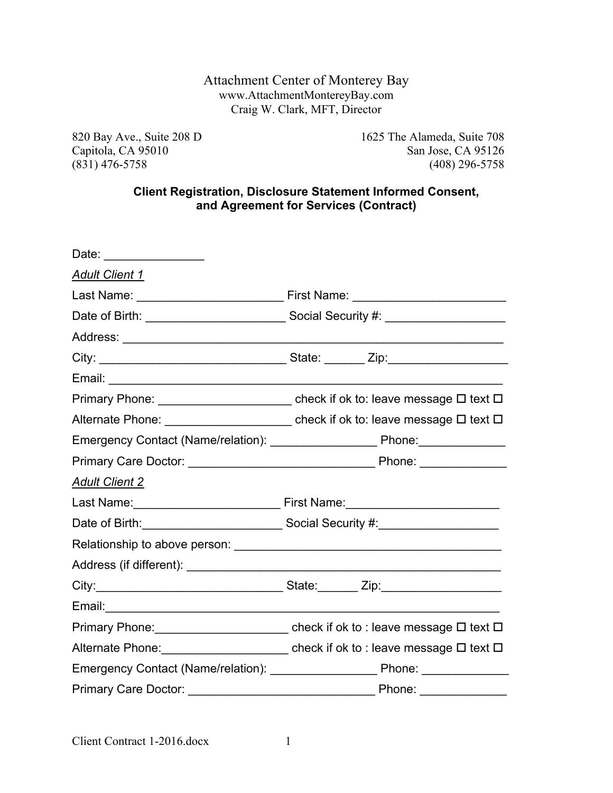### Attachment Center of Monterey Bay www.AttachmentMontereyBay.com Craig W. Clark, MFT, Director

820 Bay Ave., Suite 208 D<br>Capitola, CA 95010<br>San Jose, CA 95126 San Jose, CA 95126 (831) 476-5758 (408) 296-5758

### **Client Registration, Disclosure Statement Informed Consent, and Agreement for Services (Contract)**

| Date: _________________          |                                                                                                                         |  |  |
|----------------------------------|-------------------------------------------------------------------------------------------------------------------------|--|--|
| <b>Adult Client 1</b>            |                                                                                                                         |  |  |
|                                  |                                                                                                                         |  |  |
|                                  |                                                                                                                         |  |  |
|                                  |                                                                                                                         |  |  |
|                                  |                                                                                                                         |  |  |
|                                  |                                                                                                                         |  |  |
|                                  | Primary Phone: ______________________________check if ok to: leave message □ text □                                     |  |  |
|                                  | Alternate Phone: ____________________________ check if ok to: leave message □ text □                                    |  |  |
|                                  |                                                                                                                         |  |  |
|                                  |                                                                                                                         |  |  |
| <b>Adult Client 2</b>            |                                                                                                                         |  |  |
|                                  |                                                                                                                         |  |  |
|                                  | Date of Birth: <u>Connective Construction</u> Social Security #: Connection Connection Connection Connection Connection |  |  |
|                                  |                                                                                                                         |  |  |
|                                  |                                                                                                                         |  |  |
|                                  |                                                                                                                         |  |  |
|                                  |                                                                                                                         |  |  |
|                                  | Primary Phone: ___________________________ check if ok to : leave message □ text □                                      |  |  |
|                                  |                                                                                                                         |  |  |
|                                  |                                                                                                                         |  |  |
| Primary Care Doctor: ___________ | Phone:<br>and and                                                                                                       |  |  |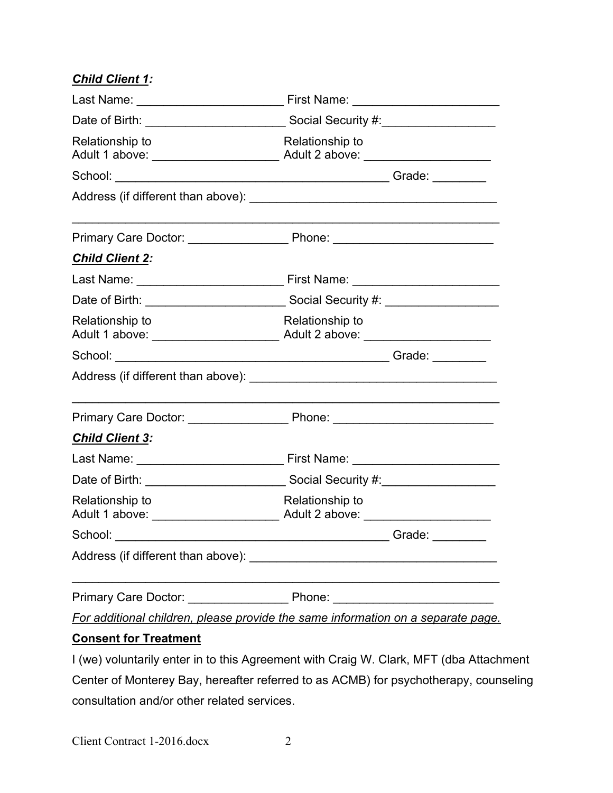# *Child Client 1:*

| Relationship to                                                                  | Relationship to |  |  |
|----------------------------------------------------------------------------------|-----------------|--|--|
|                                                                                  |                 |  |  |
|                                                                                  |                 |  |  |
|                                                                                  |                 |  |  |
| <b>Child Client 2:</b>                                                           |                 |  |  |
|                                                                                  |                 |  |  |
|                                                                                  |                 |  |  |
| Relationship to                                                                  | Relationship to |  |  |
|                                                                                  |                 |  |  |
|                                                                                  |                 |  |  |
|                                                                                  |                 |  |  |
| <b>Child Client 3:</b>                                                           |                 |  |  |
|                                                                                  |                 |  |  |
|                                                                                  |                 |  |  |
| Relationship to                                                                  | Relationship to |  |  |
|                                                                                  |                 |  |  |
|                                                                                  |                 |  |  |
|                                                                                  |                 |  |  |
| For additional children, please provide the same information on a separate page. |                 |  |  |

### **Consent for Treatment**

I (we) voluntarily enter in to this Agreement with Craig W. Clark, MFT (dba Attachment Center of Monterey Bay, hereafter referred to as ACMB) for psychotherapy, counseling consultation and/or other related services.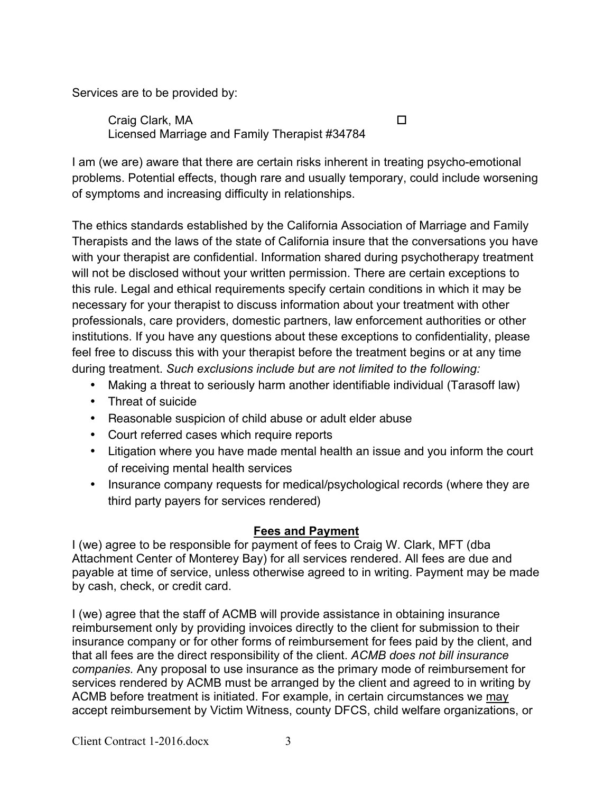Services are to be provided by:

Craig Clark, MA ! Licensed Marriage and Family Therapist #34784

I am (we are) aware that there are certain risks inherent in treating psycho-emotional problems. Potential effects, though rare and usually temporary, could include worsening of symptoms and increasing difficulty in relationships.

The ethics standards established by the California Association of Marriage and Family Therapists and the laws of the state of California insure that the conversations you have with your therapist are confidential. Information shared during psychotherapy treatment will not be disclosed without your written permission. There are certain exceptions to this rule. Legal and ethical requirements specify certain conditions in which it may be necessary for your therapist to discuss information about your treatment with other professionals, care providers, domestic partners, law enforcement authorities or other institutions. If you have any questions about these exceptions to confidentiality, please feel free to discuss this with your therapist before the treatment begins or at any time during treatment. *Such exclusions include but are not limited to the following:* 

- Making a threat to seriously harm another identifiable individual (Tarasoff law)
- Threat of suicide
- Reasonable suspicion of child abuse or adult elder abuse
- Court referred cases which require reports
- Litigation where you have made mental health an issue and you inform the court of receiving mental health services
- Insurance company requests for medical/psychological records (where they are third party payers for services rendered)

## **Fees and Payment**

I (we) agree to be responsible for payment of fees to Craig W. Clark, MFT (dba Attachment Center of Monterey Bay) for all services rendered. All fees are due and payable at time of service, unless otherwise agreed to in writing. Payment may be made by cash, check, or credit card.

I (we) agree that the staff of ACMB will provide assistance in obtaining insurance reimbursement only by providing invoices directly to the client for submission to their insurance company or for other forms of reimbursement for fees paid by the client, and that all fees are the direct responsibility of the client. *ACMB does not bill insurance companies.* Any proposal to use insurance as the primary mode of reimbursement for services rendered by ACMB must be arranged by the client and agreed to in writing by ACMB before treatment is initiated. For example, in certain circumstances we may accept reimbursement by Victim Witness, county DFCS, child welfare organizations, or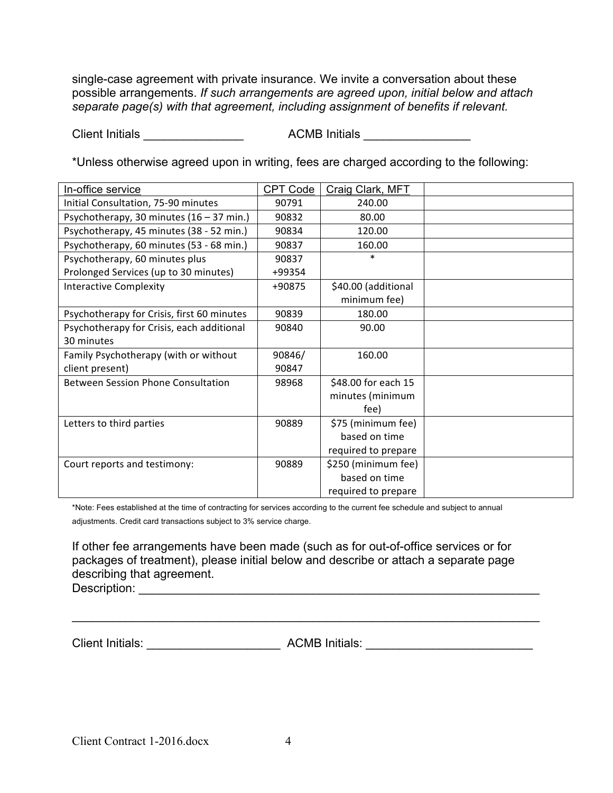single-case agreement with private insurance. We invite a conversation about these possible arrangements. *If such arrangements are agreed upon, initial below and attach separate page(s) with that agreement, including assignment of benefits if relevant.*

Client Initials \_\_\_\_\_\_\_\_\_\_\_\_\_\_\_ ACMB Initials \_\_\_\_\_\_\_\_\_\_\_\_\_\_\_\_

\*Unless otherwise agreed upon in writing, fees are charged according to the following:

| In-office service                          | <b>CPT Code</b> | Craig Clark, MFT    |  |
|--------------------------------------------|-----------------|---------------------|--|
| Initial Consultation, 75-90 minutes        | 90791           | 240.00              |  |
| Psychotherapy, 30 minutes (16 - 37 min.)   | 90832           | 80.00               |  |
| Psychotherapy, 45 minutes (38 - 52 min.)   | 90834           | 120.00              |  |
| Psychotherapy, 60 minutes (53 - 68 min.)   | 90837           | 160.00              |  |
| Psychotherapy, 60 minutes plus             | 90837           | $\ast$              |  |
| Prolonged Services (up to 30 minutes)      | +99354          |                     |  |
| <b>Interactive Complexity</b>              | +90875          | \$40.00 (additional |  |
|                                            |                 | minimum fee)        |  |
| Psychotherapy for Crisis, first 60 minutes | 90839           | 180.00              |  |
| Psychotherapy for Crisis, each additional  | 90840           | 90.00               |  |
| 30 minutes                                 |                 |                     |  |
| Family Psychotherapy (with or without      | 90846/          | 160.00              |  |
| client present)                            | 90847           |                     |  |
| Between Session Phone Consultation         | 98968           | \$48.00 for each 15 |  |
|                                            |                 | minutes (minimum    |  |
|                                            |                 | fee)                |  |
| Letters to third parties                   | 90889           | \$75 (minimum fee)  |  |
|                                            |                 | based on time       |  |
|                                            |                 | required to prepare |  |
| Court reports and testimony:               | 90889           | \$250 (minimum fee) |  |
|                                            |                 | based on time       |  |
|                                            |                 | required to prepare |  |

\*Note: Fees established at the time of contracting for services according to the current fee schedule and subject to annual adjustments. Credit card transactions subject to 3% service charge.

If other fee arrangements have been made (such as for out-of-office services or for packages of treatment), please initial below and describe or attach a separate page describing that agreement. Description:

 $\mathcal{L}_\mathcal{L} = \mathcal{L}_\mathcal{L} = \mathcal{L}_\mathcal{L} = \mathcal{L}_\mathcal{L} = \mathcal{L}_\mathcal{L} = \mathcal{L}_\mathcal{L} = \mathcal{L}_\mathcal{L} = \mathcal{L}_\mathcal{L} = \mathcal{L}_\mathcal{L} = \mathcal{L}_\mathcal{L} = \mathcal{L}_\mathcal{L} = \mathcal{L}_\mathcal{L} = \mathcal{L}_\mathcal{L} = \mathcal{L}_\mathcal{L} = \mathcal{L}_\mathcal{L} = \mathcal{L}_\mathcal{L} = \mathcal{L}_\mathcal{L}$ 

Client Initials: \_\_\_\_\_\_\_\_\_\_\_\_\_\_\_\_\_\_\_\_ ACMB Initials: \_\_\_\_\_\_\_\_\_\_\_\_\_\_\_\_\_\_\_\_\_\_\_\_\_